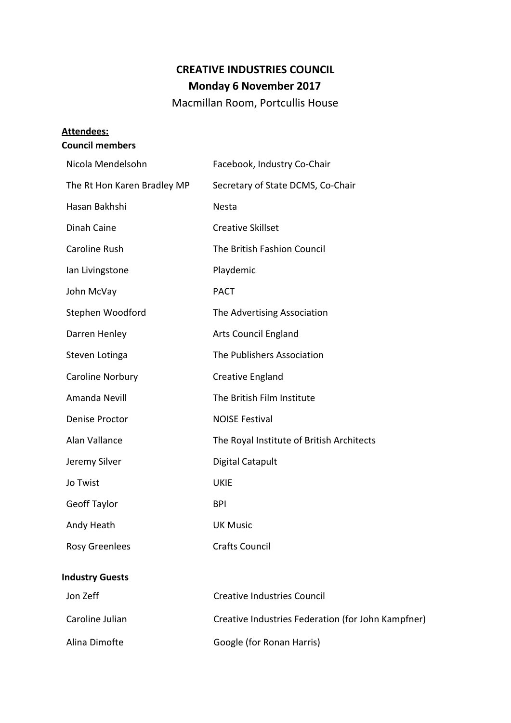## **CREATIVE INDUSTRIES COUNCIL Monday 6 November 2017**

Macmillan Room, Portcullis House

# **Attendees:**

## **Council members**

| Nicola Mendelsohn           | Facebook, Industry Co-Chair                        |
|-----------------------------|----------------------------------------------------|
| The Rt Hon Karen Bradley MP | Secretary of State DCMS, Co-Chair                  |
| Hasan Bakhshi               | Nesta                                              |
| Dinah Caine                 | <b>Creative Skillset</b>                           |
| Caroline Rush               | The British Fashion Council                        |
| Ian Livingstone             | Playdemic                                          |
| John McVay                  | <b>PACT</b>                                        |
| Stephen Woodford            | The Advertising Association                        |
| Darren Henley               | <b>Arts Council England</b>                        |
| Steven Lotinga              | The Publishers Association                         |
| Caroline Norbury            | Creative England                                   |
| Amanda Nevill               | The British Film Institute                         |
| Denise Proctor              | <b>NOISE Festival</b>                              |
| Alan Vallance               | The Royal Institute of British Architects          |
| Jeremy Silver               | <b>Digital Catapult</b>                            |
| Jo Twist                    | <b>UKIE</b>                                        |
| <b>Geoff Taylor</b>         | <b>BPI</b>                                         |
| Andy Heath                  | <b>UK Music</b>                                    |
| <b>Rosy Greenlees</b>       | <b>Crafts Council</b>                              |
| <b>Industry Guests</b>      |                                                    |
| Jon Zeff                    | <b>Creative Industries Council</b>                 |
| Caroline Julian             | Creative Industries Federation (for John Kampfner) |
| Alina Dimofte               | Google (for Ronan Harris)                          |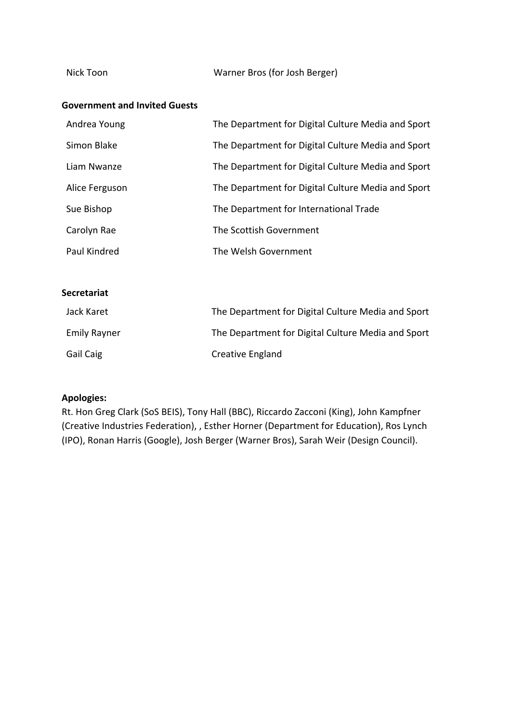#### **Government and Invited Guests**

| Andrea Young   | The Department for Digital Culture Media and Sport |
|----------------|----------------------------------------------------|
| Simon Blake    | The Department for Digital Culture Media and Sport |
| Liam Nwanze    | The Department for Digital Culture Media and Sport |
| Alice Ferguson | The Department for Digital Culture Media and Sport |
| Sue Bishop     | The Department for International Trade             |
| Carolyn Rae    | The Scottish Government                            |
| Paul Kindred   | The Welsh Government                               |

#### **Secretariat**

| Jack Karet          | The Department for Digital Culture Media and Sport |
|---------------------|----------------------------------------------------|
| <b>Emily Rayner</b> | The Department for Digital Culture Media and Sport |
| <b>Gail Caig</b>    | Creative England                                   |

#### **Apologies:**

Rt. Hon Greg Clark (SoS BEIS), Tony Hall (BBC), Riccardo Zacconi (King), John Kampfner (Creative Industries Federation), , Esther Horner (Department for Education), Ros Lynch (IPO), Ronan Harris (Google), Josh Berger (Warner Bros), Sarah Weir (Design Council).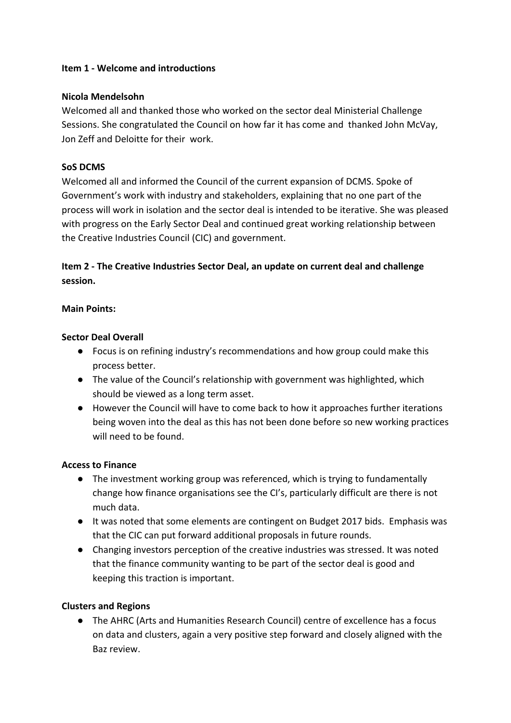#### **Item 1 - Welcome and introductions**

#### **Nicola Mendelsohn**

Welcomed all and thanked those who worked on the sector deal Ministerial Challenge Sessions. She congratulated the Council on how far it has come and thanked John McVay, Jon Zeff and Deloitte for their work.

#### **SoS DCMS**

Welcomed all and informed the Council of the current expansion of DCMS. Spoke of Government's work with industry and stakeholders, explaining that no one part of the process will work in isolation and the sector deal is intended to be iterative. She was pleased with progress on the Early Sector Deal and continued great working relationship between the Creative Industries Council (CIC) and government.

## **Item 2 - The Creative Industries Sector Deal, an update on current deal and challenge session.**

#### **Main Points:**

#### **Sector Deal Overall**

- **●** Focus is on refining industry's recommendations and how group could make this process better.
- The value of the Council's relationship with government was highlighted, which should be viewed as a long term asset.
- However the Council will have to come back to how it approaches further iterations being woven into the deal as this has not been done before so new working practices will need to be found.

#### **Access to Finance**

- The investment working group was referenced, which is trying to fundamentally change how finance organisations see the CI's, particularly difficult are there is not much data.
- It was noted that some elements are contingent on Budget 2017 bids. Emphasis was that the CIC can put forward additional proposals in future rounds.
- Changing investors perception of the creative industries was stressed. It was noted that the finance community wanting to be part of the sector deal is good and keeping this traction is important.

#### **Clusters and Regions**

● The AHRC (Arts and Humanities Research Council) centre of excellence has a focus on data and clusters, again a very positive step forward and closely aligned with the Baz review.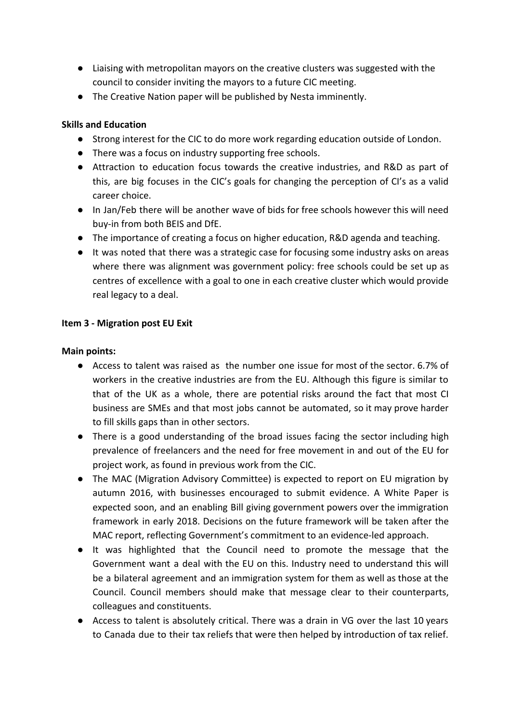- Liaising with metropolitan mayors on the creative clusters was suggested with the council to consider inviting the mayors to a future CIC meeting.
- The Creative Nation paper will be published by Nesta imminently.

#### **Skills and Education**

- Strong interest for the CIC to do more work regarding education outside of London.
- There was a focus on industry supporting free schools.
- Attraction to education focus towards the creative industries, and R&D as part of this, are big focuses in the CIC's goals for changing the perception of CI's as a valid career choice.
- In Jan/Feb there will be another wave of bids for free schools however this will need buy-in from both BEIS and DfE.
- The importance of creating a focus on higher education, R&D agenda and teaching.
- It was noted that there was a strategic case for focusing some industry asks on areas where there was alignment was government policy: free schools could be set up as centres of excellence with a goal to one in each creative cluster which would provide real legacy to a deal.

#### **Item 3 - Migration post EU Exit**

#### **Main points:**

- Access to talent was raised as the number one issue for most of the sector. 6.7% of workers in the creative industries are from the EU. Although this figure is similar to that of the UK as a whole, there are potential risks around the fact that most CI business are SMEs and that most jobs cannot be automated, so it may prove harder to fill skills gaps than in other sectors.
- There is a good understanding of the broad issues facing the sector including high prevalence of freelancers and the need for free movement in and out of the EU for project work, as found in previous work from the CIC.
- The MAC (Migration Advisory Committee) is expected to report on EU migration by autumn 2016, with businesses encouraged to submit evidence. A White Paper is expected soon, and an enabling Bill giving government powers over the immigration framework in early 2018. Decisions on the future framework will be taken after the MAC report, reflecting Government's commitment to an evidence-led approach.
- It was highlighted that the Council need to promote the message that the Government want a deal with the EU on this. Industry need to understand this will be a bilateral agreement and an immigration system for them as well as those at the Council. Council members should make that message clear to their counterparts, colleagues and constituents.
- Access to talent is absolutely critical. There was a drain in VG over the last 10 years to Canada due to their tax reliefs that were then helped by introduction of tax relief.